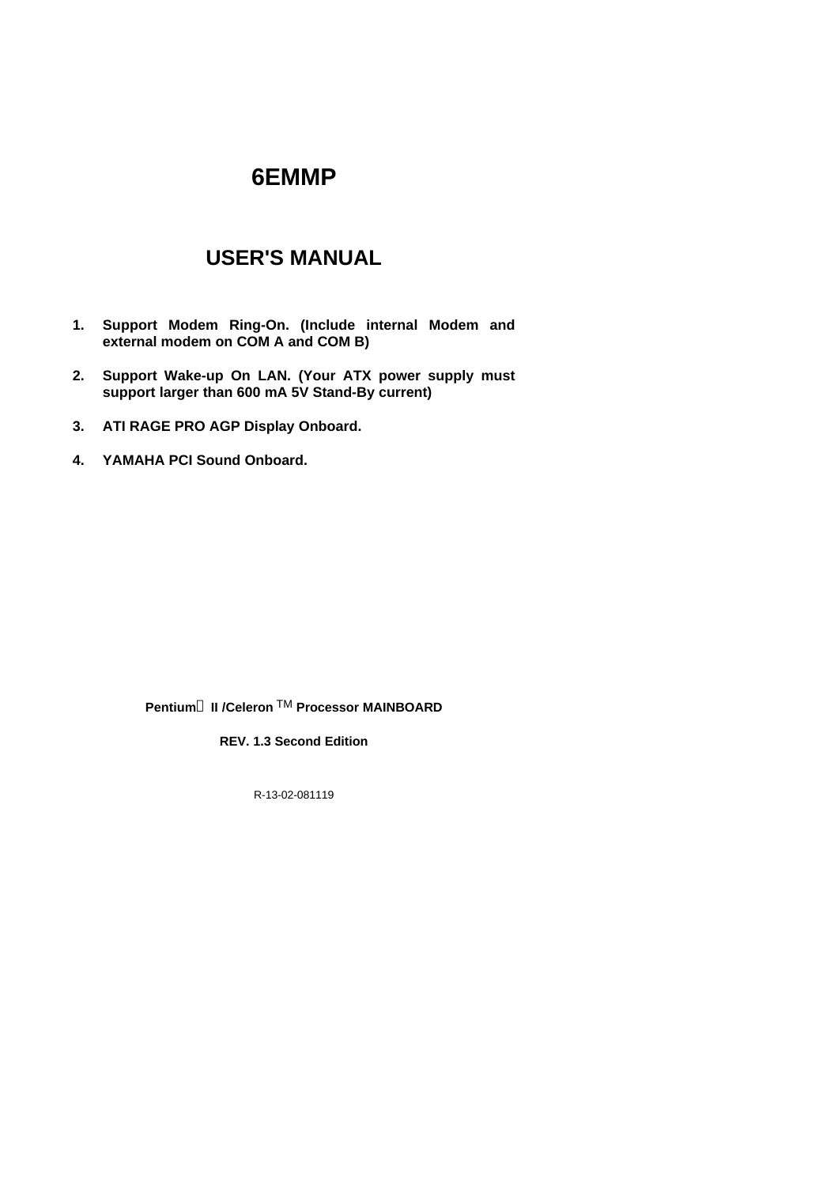# **USER'S MANUAL**

- **1. Support Modem Ring-On. (Include internal Modem and external modem on COM A and COM B)**
- **2. Support Wake-up On LAN. (Your ATX power supply must support larger than 600 mA 5V Stand-By current)**
- **3. ATI RAGE PRO AGP Display Onboard.**
- **4. YAMAHA PCI Sound Onboard.**

**Pentium**<sup>â</sup> Ⅱ/Celeron<sup>™</sup> Processor MAINBOARD

**REV. 1.3 Second Edition**

R-13-02-081119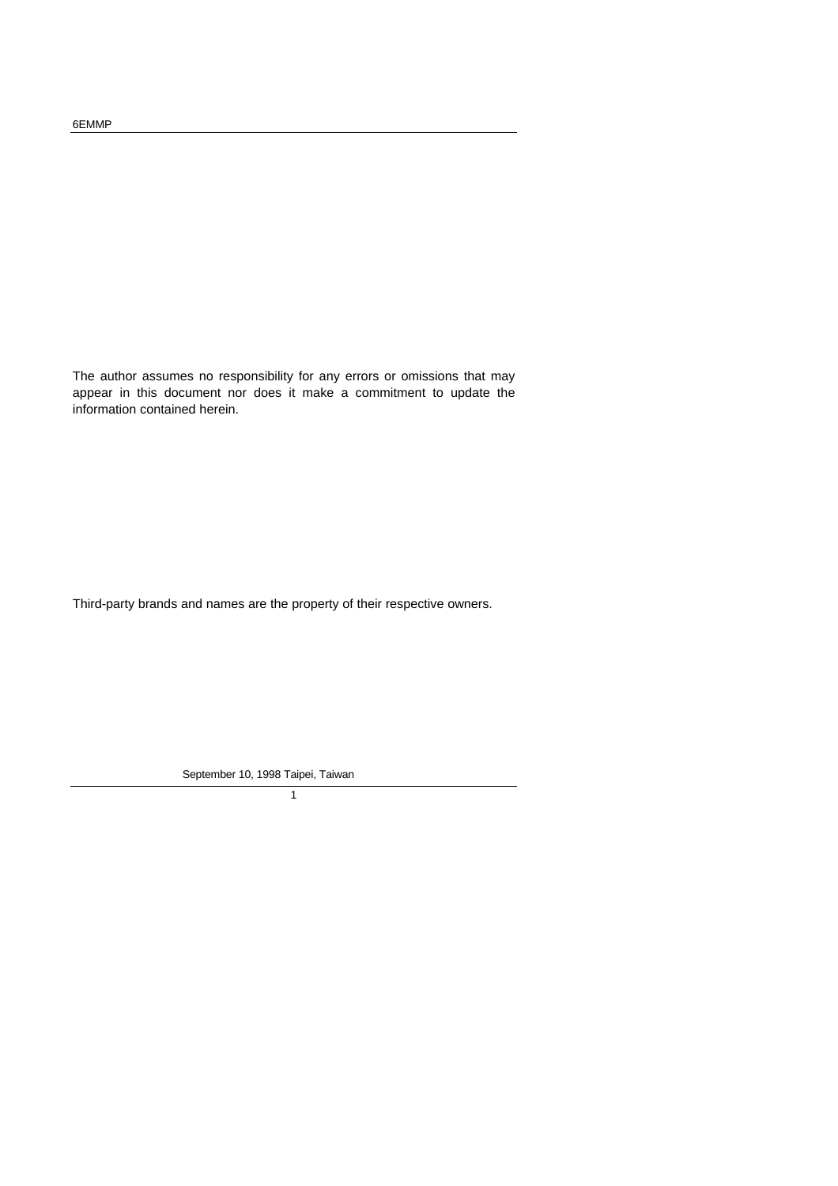The author assumes no responsibility for any errors or omissions that may appear in this document nor does it make a commitment to update the information contained herein.

Third-party brands and names are the property of their respective owners.

September 10, 1998 Taipei, Taiwan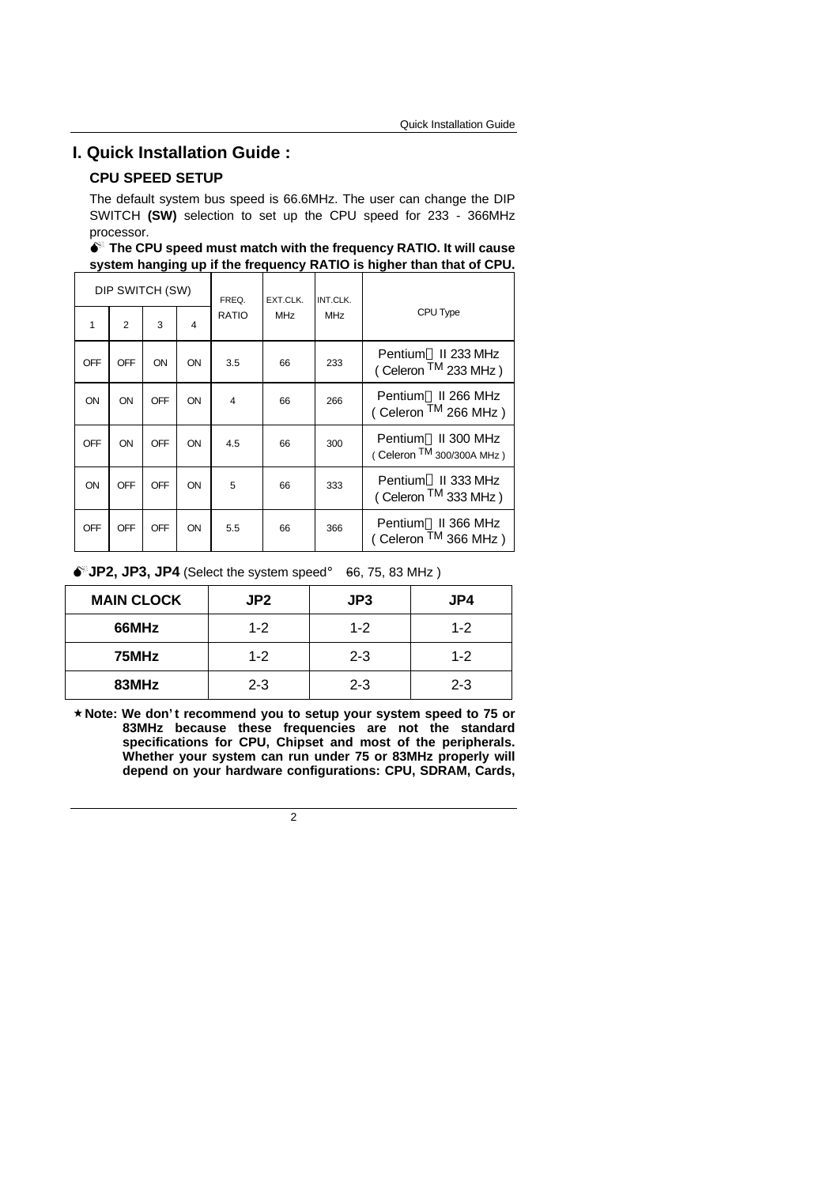# **I. Quick Installation Guide :**

# **CPU SPEED SETUP**

The default system bus speed is 66.6MHz. The user can change the DIP SWITCH **(SW)** selection to set up the CPU speed for 233 - 366MHz processor.

 $\bullet^*$  The CPU speed must match with the frequency RATIO. It will cause **system hanging up if the frequency RATIO is higher than that of CPU.**

|  | DIP SWITCH (SW) |                |            |    | FREQ.        | EXT.CLK.   | INT.CLK.   |                                                           |
|--|-----------------|----------------|------------|----|--------------|------------|------------|-----------------------------------------------------------|
|  | 1               | $\overline{2}$ | 3          | 4  | <b>RATIO</b> | <b>MHz</b> | <b>MHz</b> | CPU Type                                                  |
|  | OFF             | OFF            | ON         | ON | 3.5          | 66         | 233        | Pentium <sup>®</sup> II 233 MHz<br>(Celeron $TM$ 233 MHz) |
|  | <b>ON</b>       | ON             | OFF        | ON | 4            | 66         | 266        | Pentium® II 266 MHz<br>(Celeron TM 266 MHz)               |
|  | <b>OFF</b>      | ON             | OFF        | ON | 4.5          | 66         | 300        | Pentium® II 300 MHz<br>(Celeron $TM$ 300/300A MHz)        |
|  | ON              | OFF            | OFF        | ON | 5            | 66         | 333        | Pentium <sup>®</sup> II 333 MHz<br>(Celeron TM 333 MHz)   |
|  | <b>OFF</b>      | <b>OFF</b>     | <b>OFF</b> | ON | 5.5          | 66         | 366        | Pentium <sup>®</sup> II 366 MHz<br>(Celeron $TM$ 366 MHz) |

### $\bullet^*$ **JP2, JP3, JP4** (Select the system speed; 66, 75, 83 MHz)

| <b>MAIN CLOCK</b> | JP <sub>2</sub> | JP3     | JP4     |
|-------------------|-----------------|---------|---------|
| 66MHz             | $1 - 2$         | $1 - 2$ | $1 - 2$ |
| 75MHz             | $1 - 2$         | $2 - 3$ | $1 - 2$ |
| 83MHz             | $2 - 3$         | $2 - 3$ | $2 - 3$ |

**´Note: We don't recommend you to setup your system speed to 75 or 83MHz because these frequencies are not the standard specifications for CPU, Chipset and most of the peripherals. Whether your system can run under 75 or 83MHz properly will depend on your hardware configurations: CPU, SDRAM, Cards,**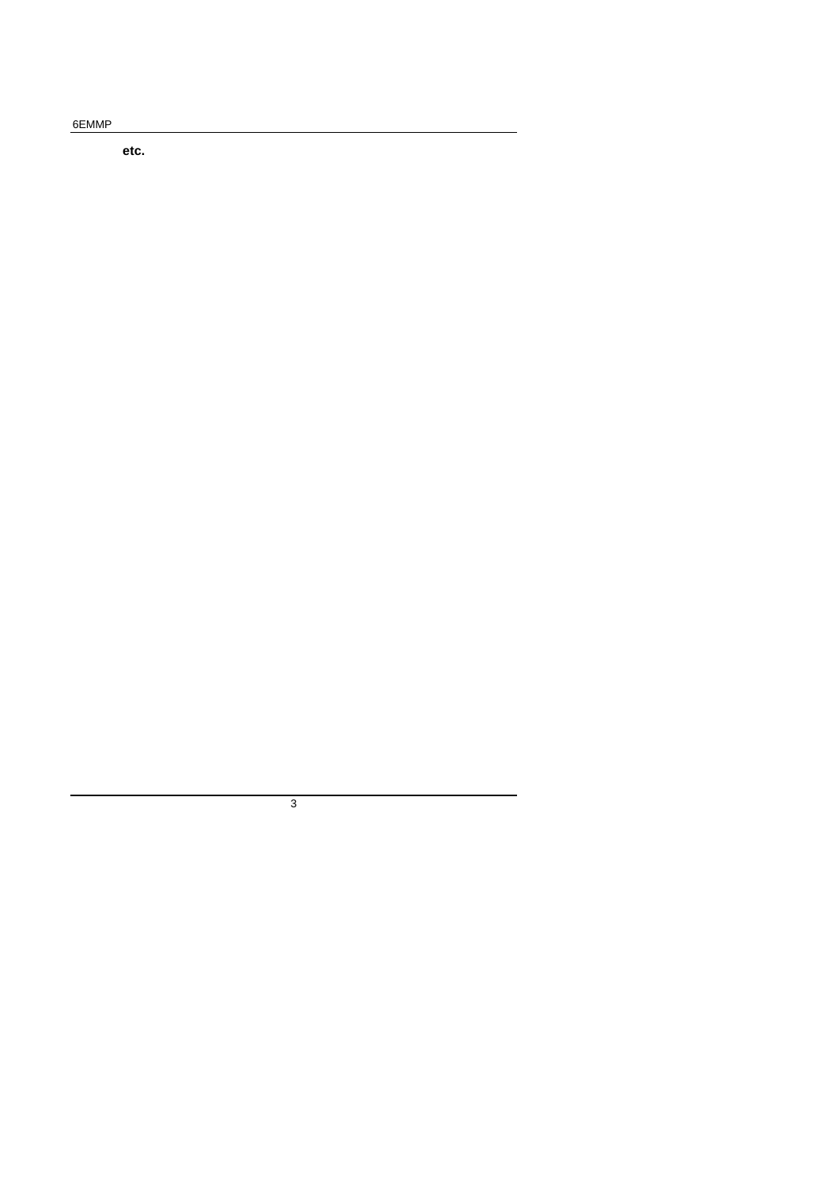**etc.**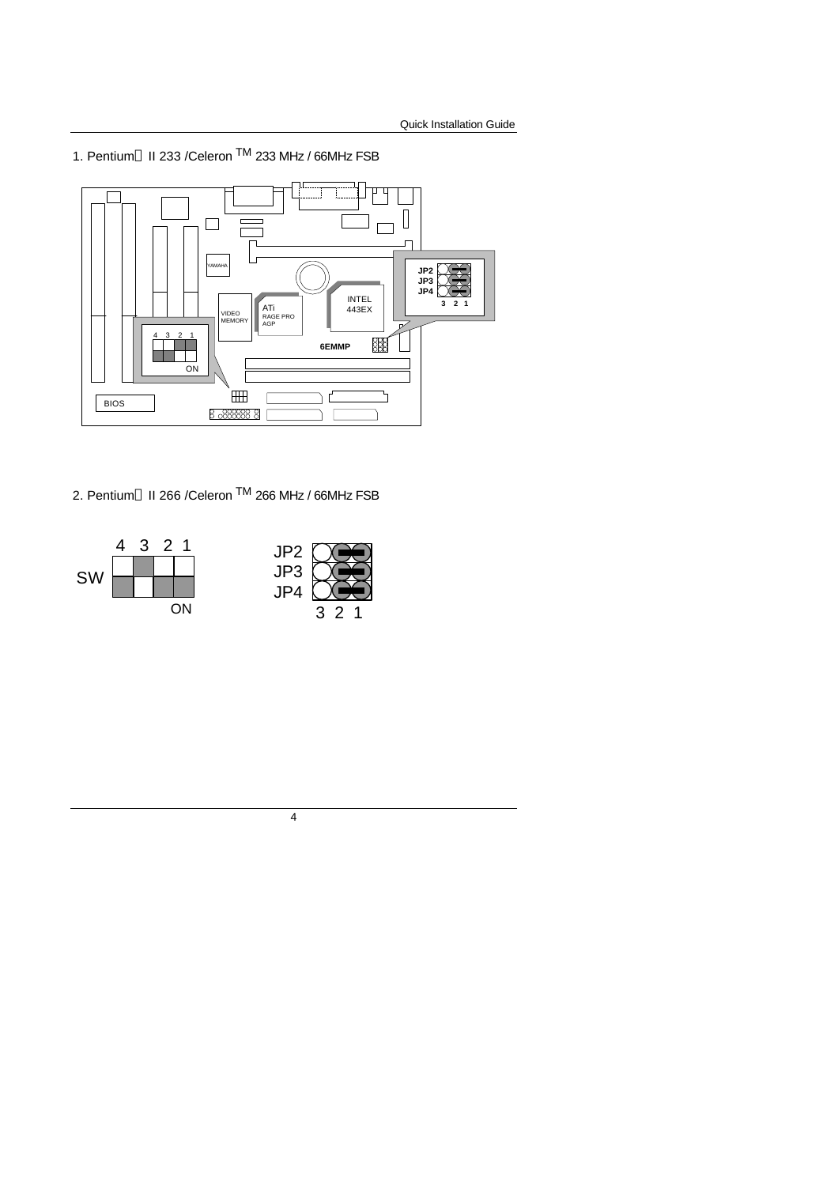1. Pentium<sup>®</sup> II 233 /Celeron <sup>TM</sup> 233 MHz / 66MHz FSB



2. Pentium<sup>®</sup> II 266 /Celeron  $\overline{M}$  266 MHz / 66MHz FSB

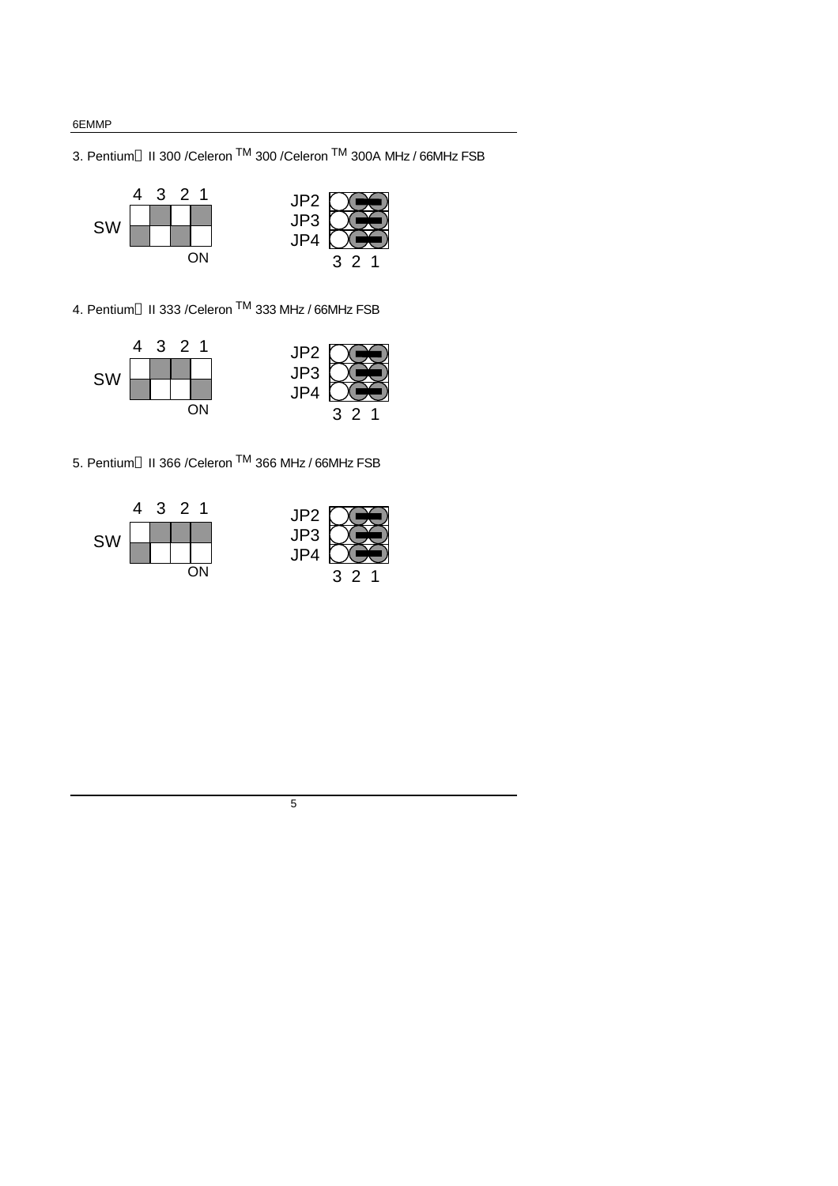3. Pentium<sup>®</sup> II 300 /Celeron <sup>TM</sup> 300 /Celeron <sup>TM</sup> 300A MHz / 66MHz FSB



4. Pentium<sup>®</sup> II 333 /Celeron  $\text{TM}$  333 MHz / 66MHz FSB



5. Pentium<sup>®</sup> II 366 /Celeron  $\text{TM}$  366 MHz / 66MHz FSB





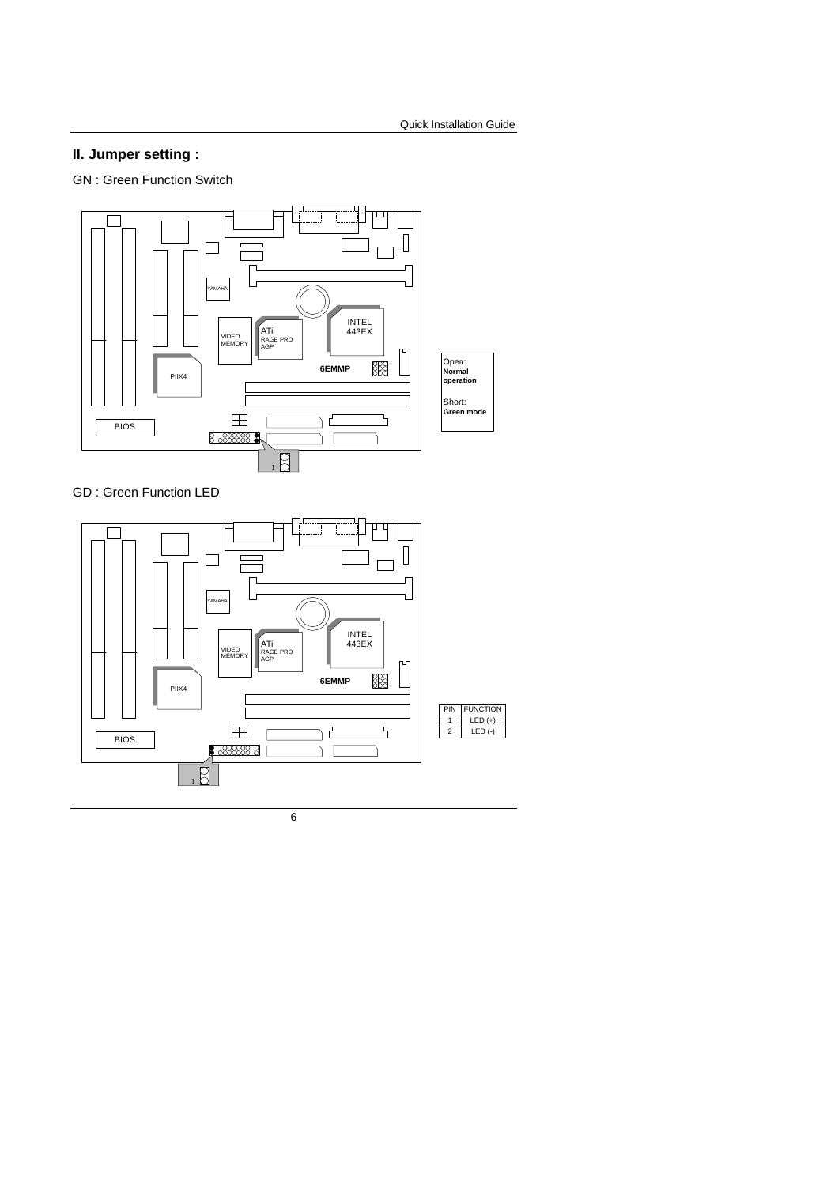## **II. Jumper setting :**

GN : Green Function Switch



GD : Green Function LED

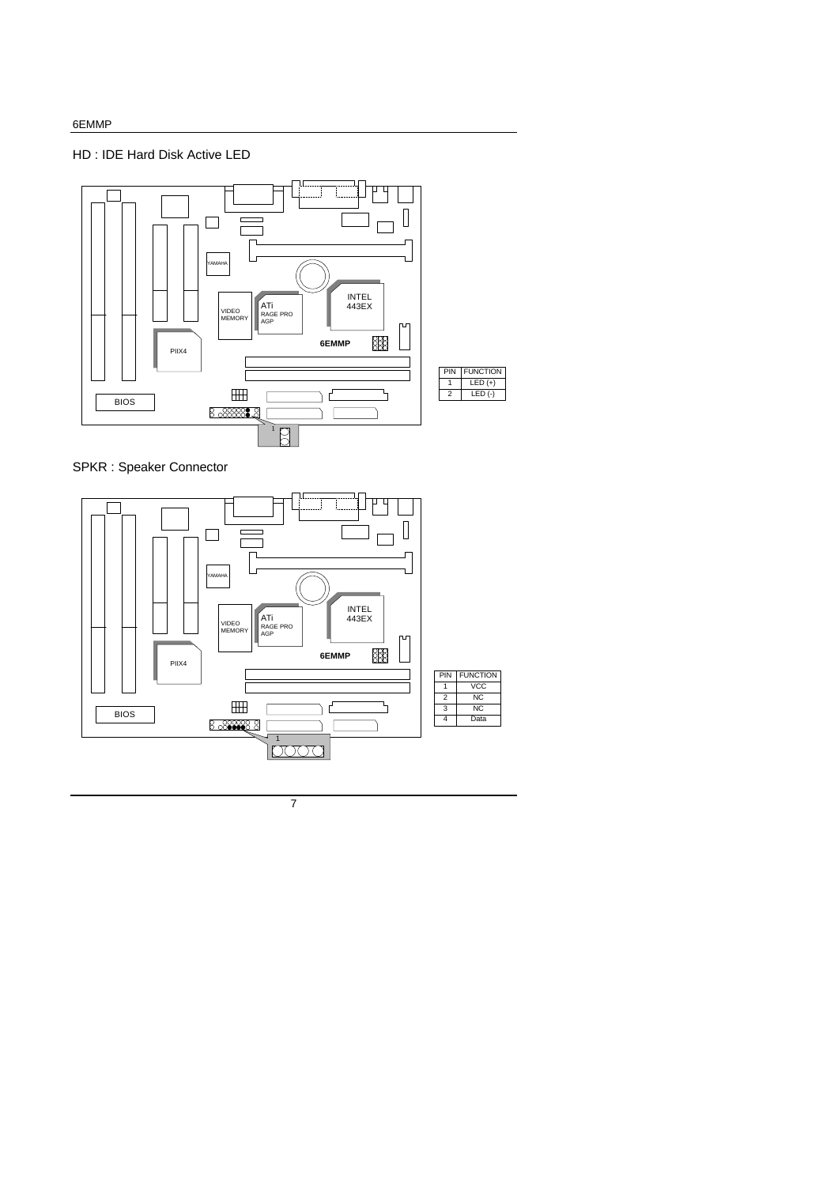## HD : IDE Hard Disk Active LED



SPKR : Speaker Connector

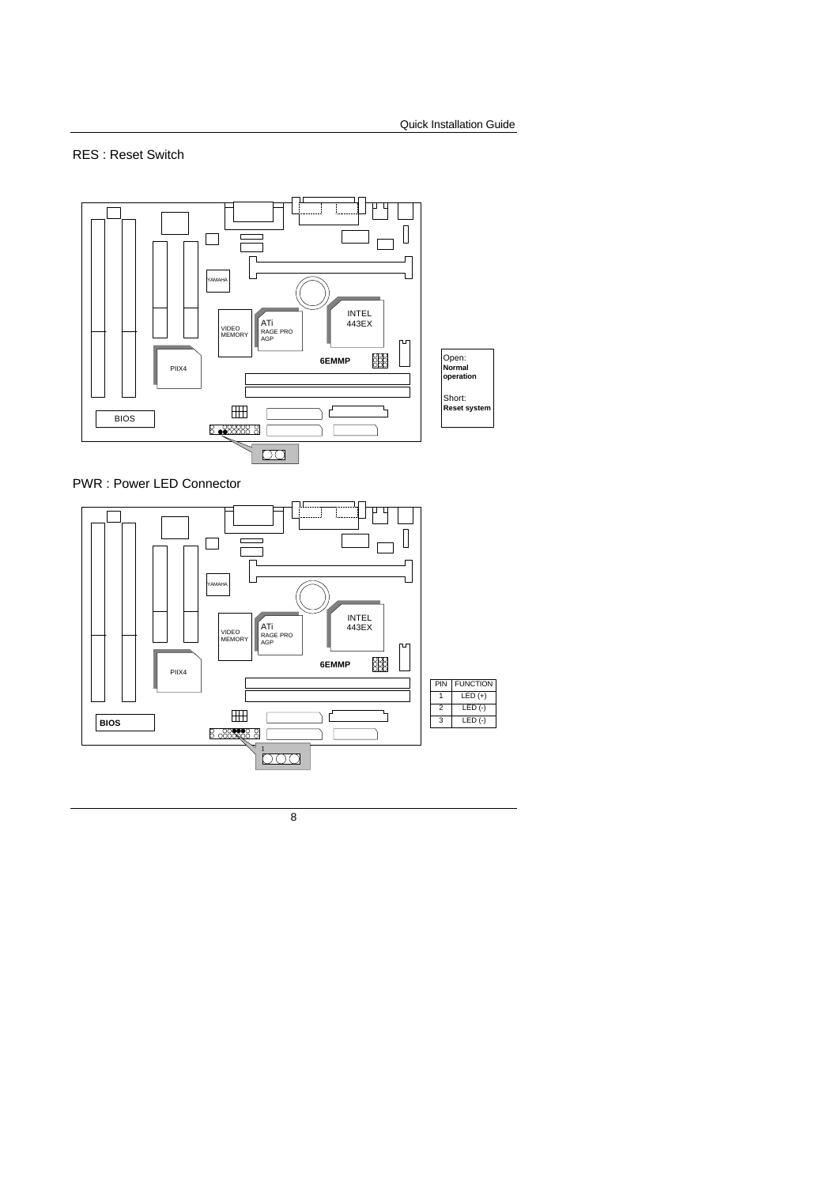## RES : Reset Switch



PWR : Power LED Connector

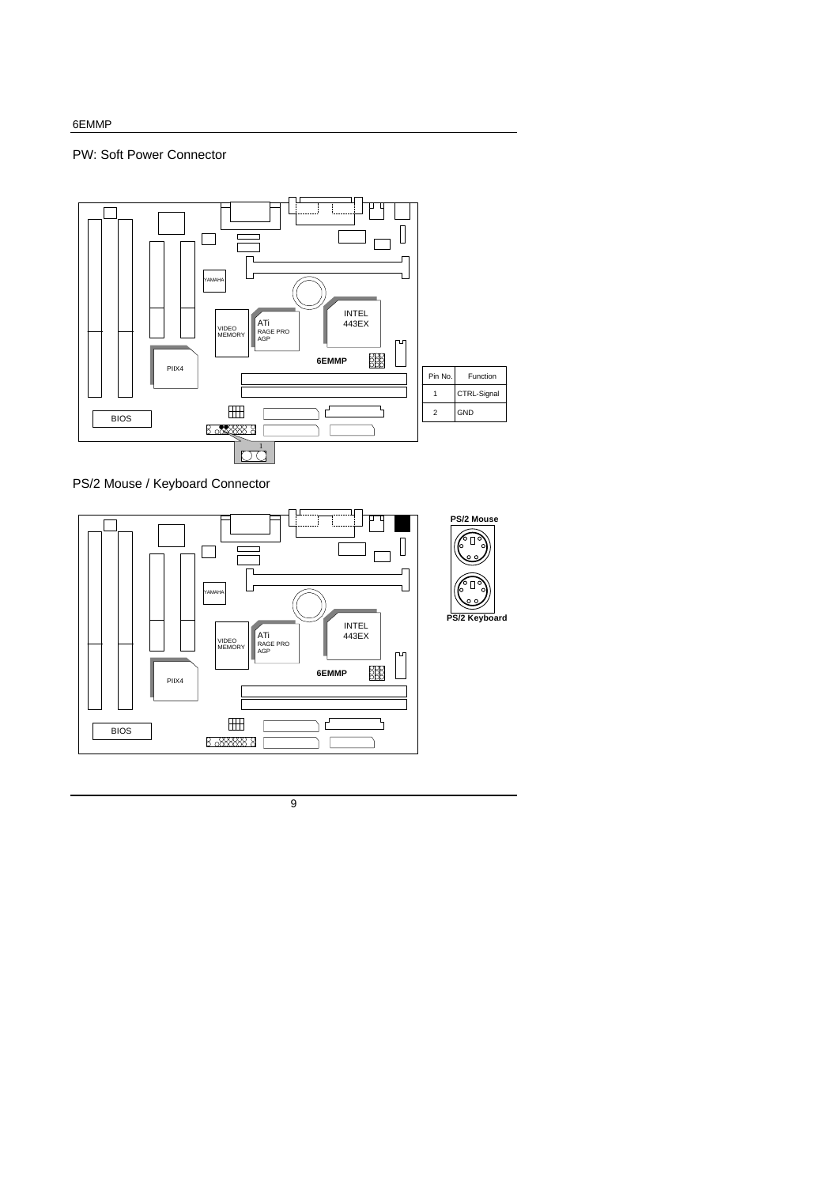## PW: Soft Power Connector



PS/2 Mouse / Keyboard Connector

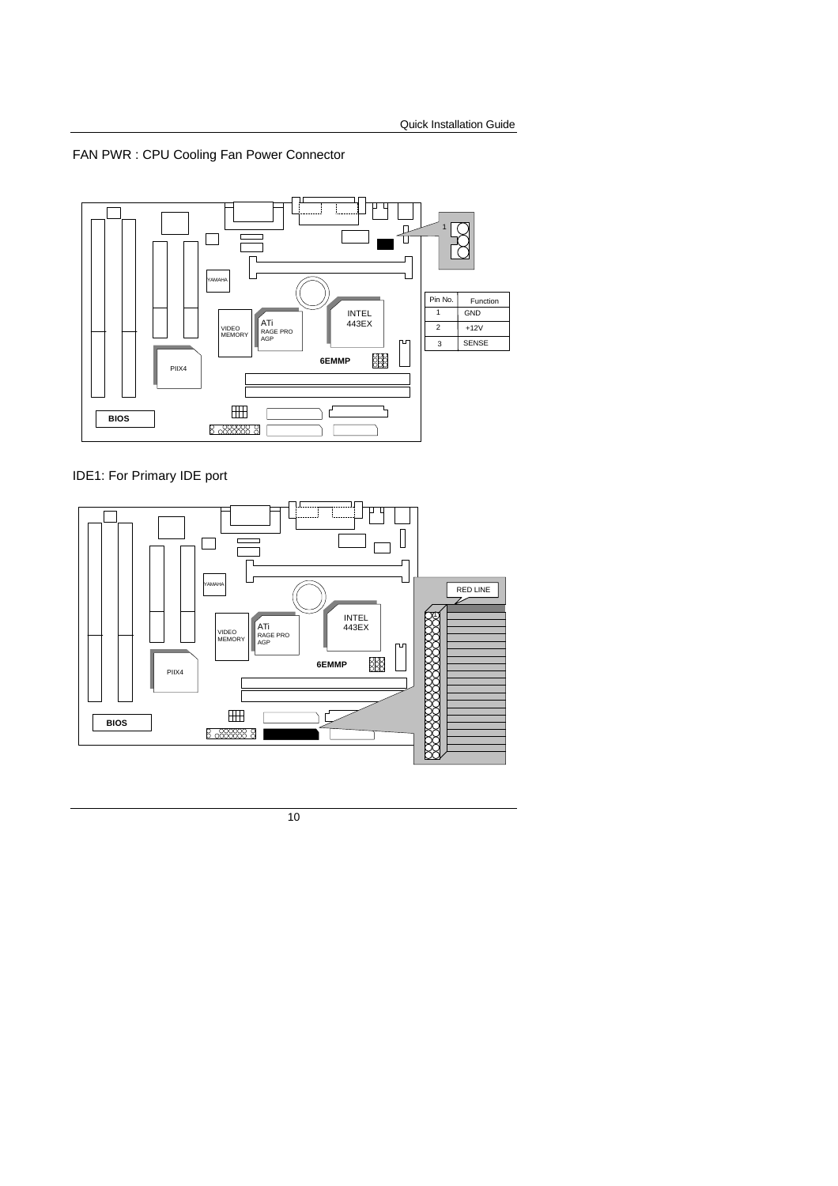# FAN PWR : CPU Cooling Fan Power Connector



IDE1: For Primary IDE port

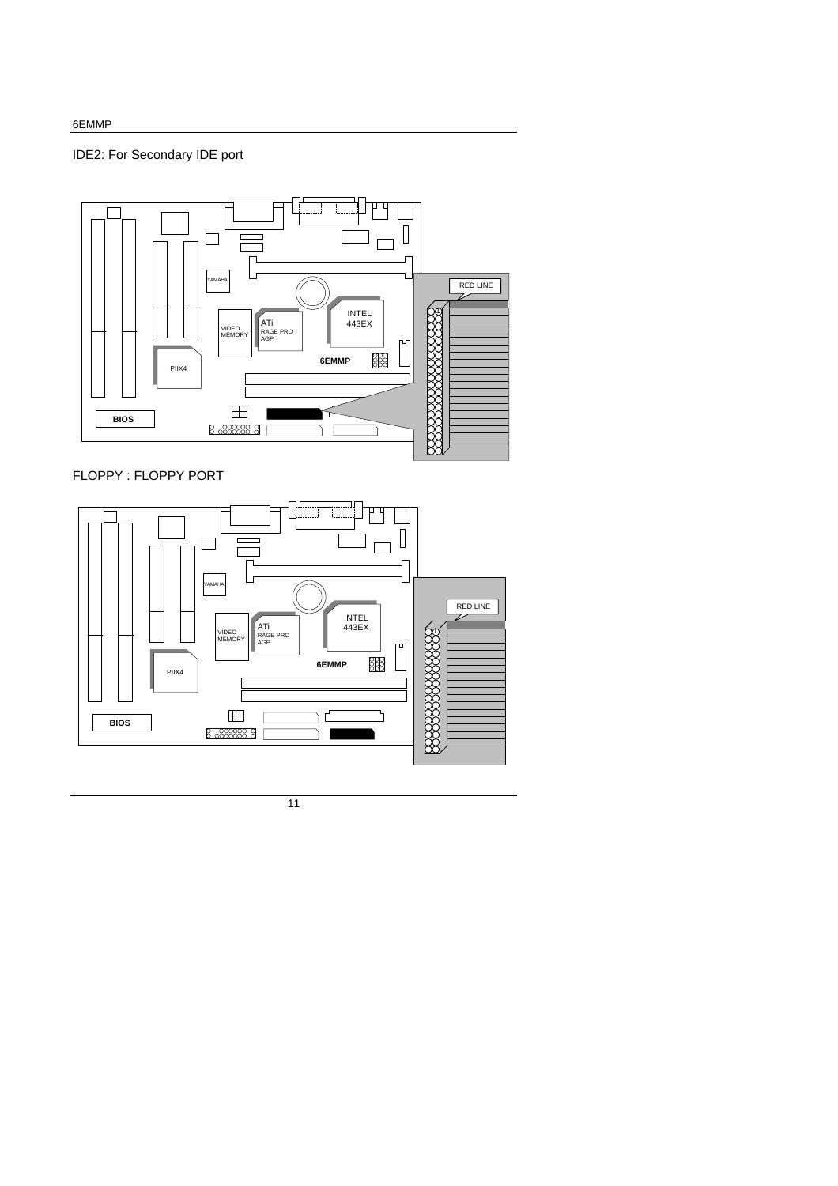# IDE2: For Secondary IDE port



# FLOPPY : FLOPPY PORT

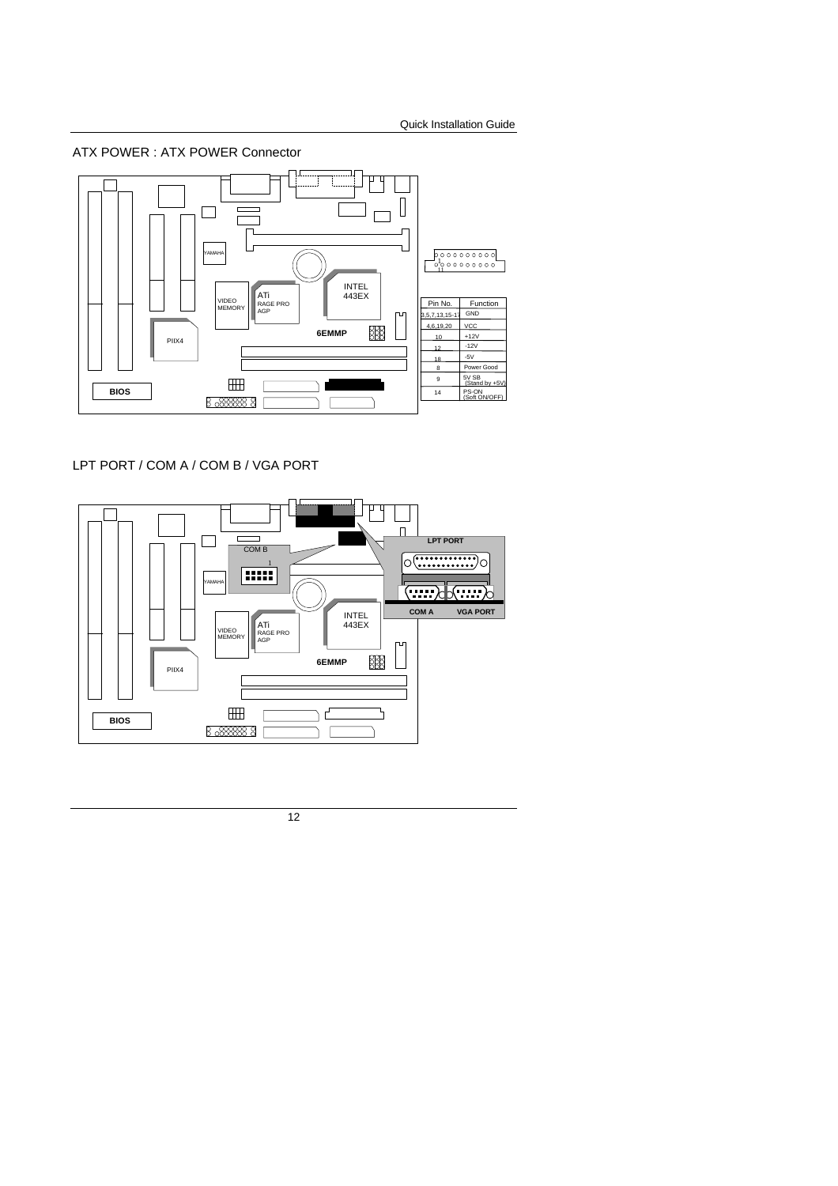ATX POWER : ATX POWER Connector



LPT PORT / COM A / COM B / VGA PORT

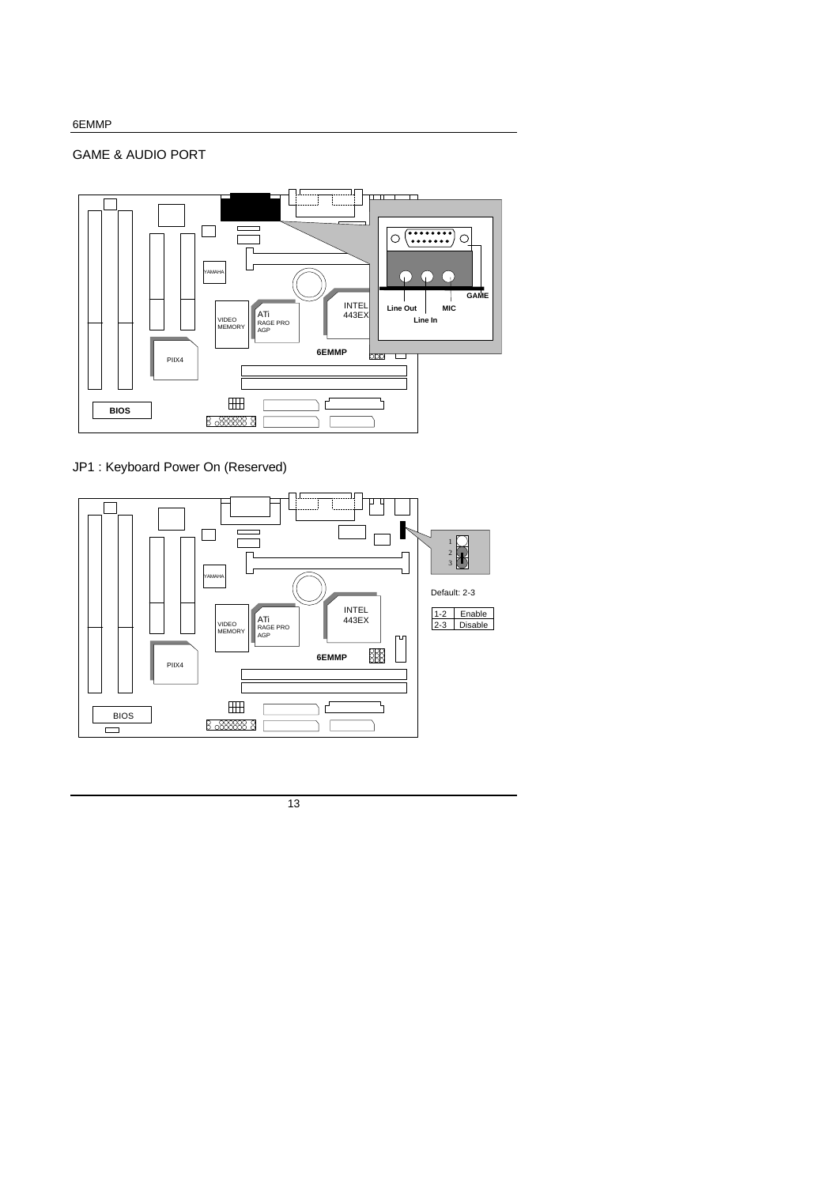## GAME & AUDIO PORT



JP1 : Keyboard Power On (Reserved)

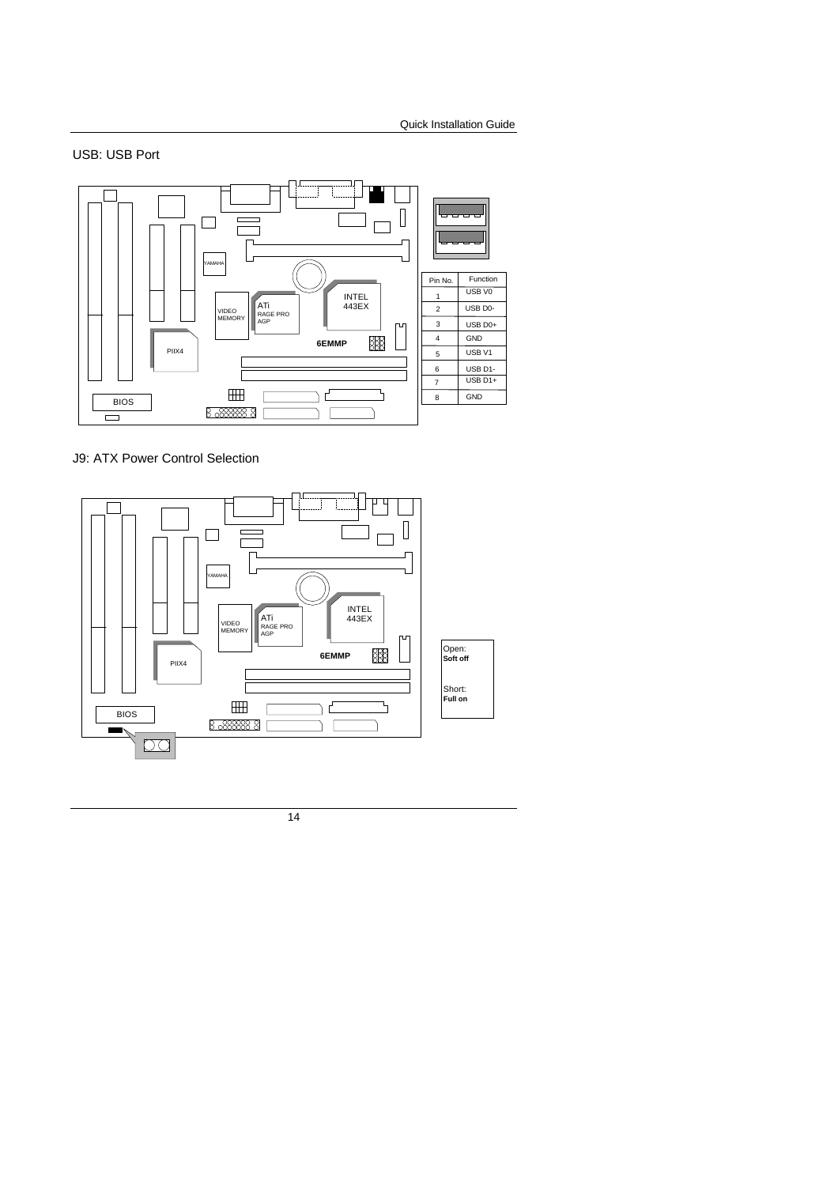## USB: USB Port



## J9: ATX Power Control Selection

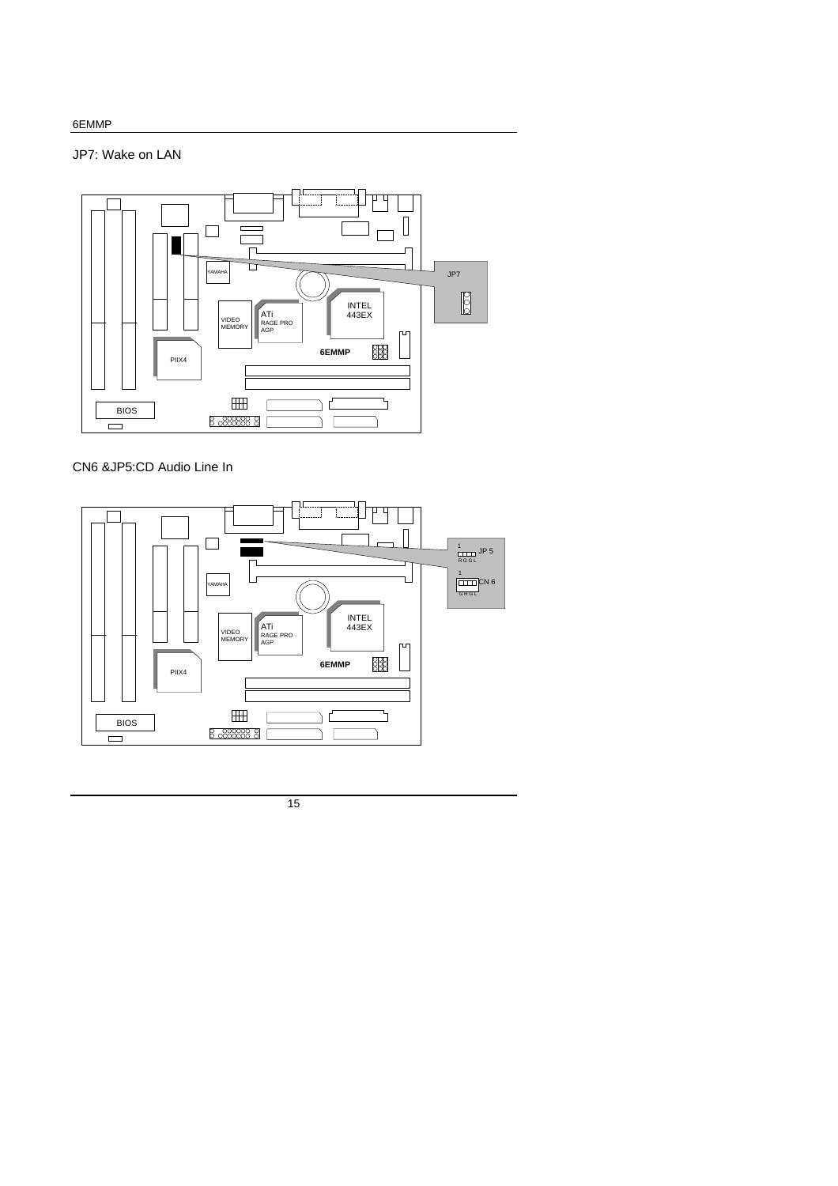## JP7: Wake on LAN



CN6 &JP5:CD Audio Line In

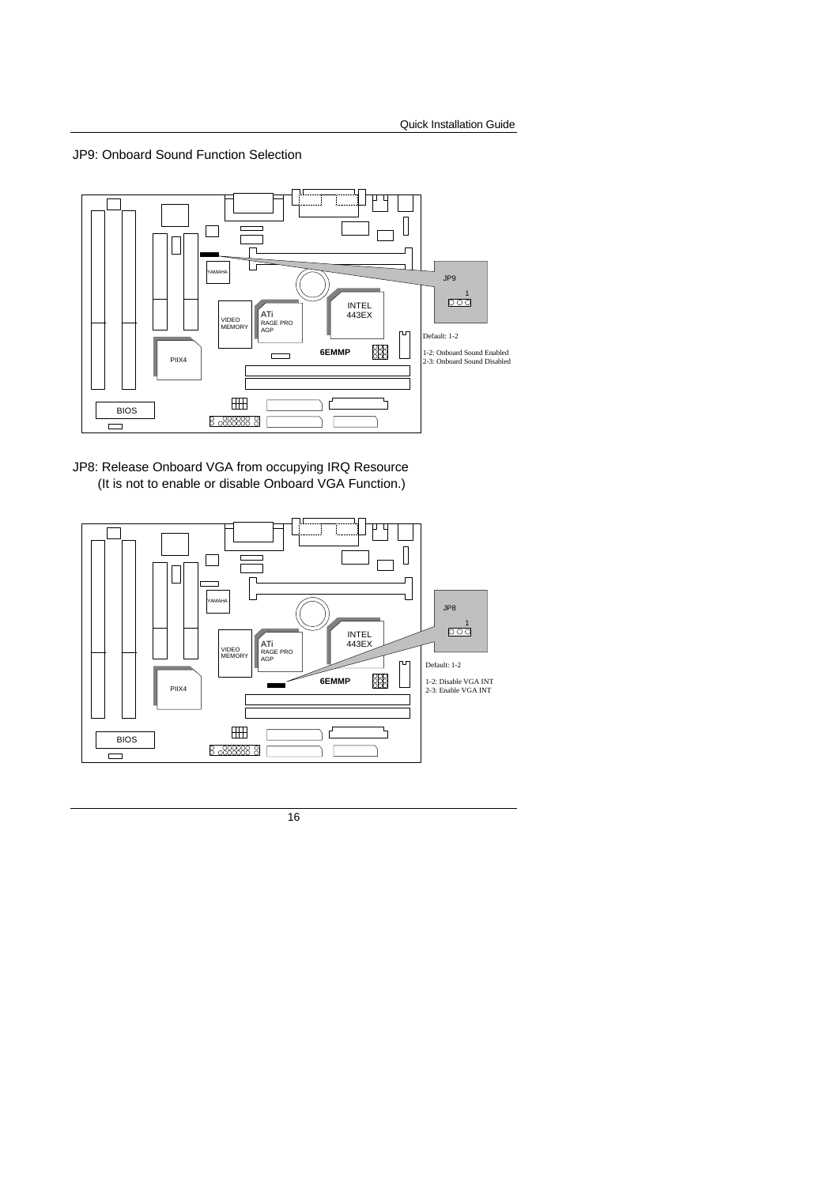JP9: Onboard Sound Function Selection



JP8: Release Onboard VGA from occupying IRQ Resource (It is not to enable or disable Onboard VGA Function.)

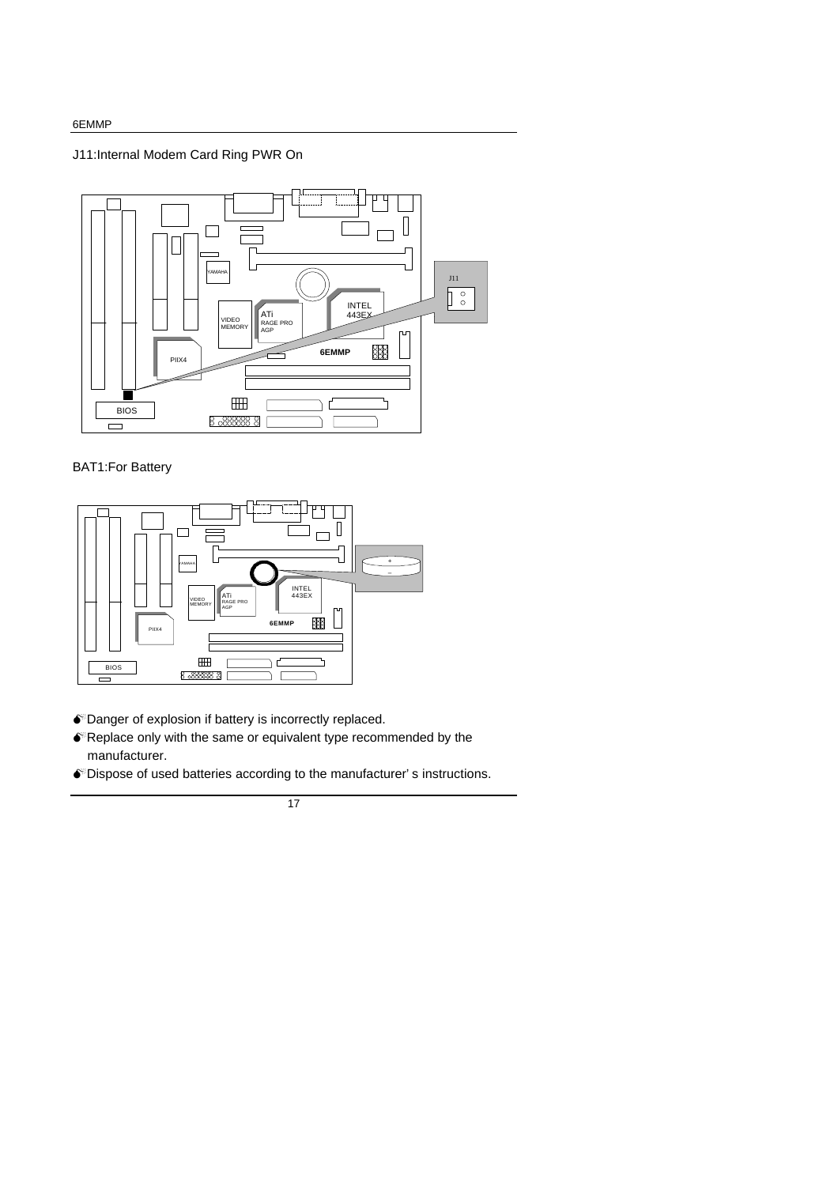## J11:Internal Modem Card Ring PWR On



## BAT1:For Battery



- $\bullet$  Danger of explosion if battery is incorrectly replaced.
- $\bullet$  Replace only with the same or equivalent type recommended by the manufacturer.
- MDispose of used batteries according to the manufacturer' s instructions.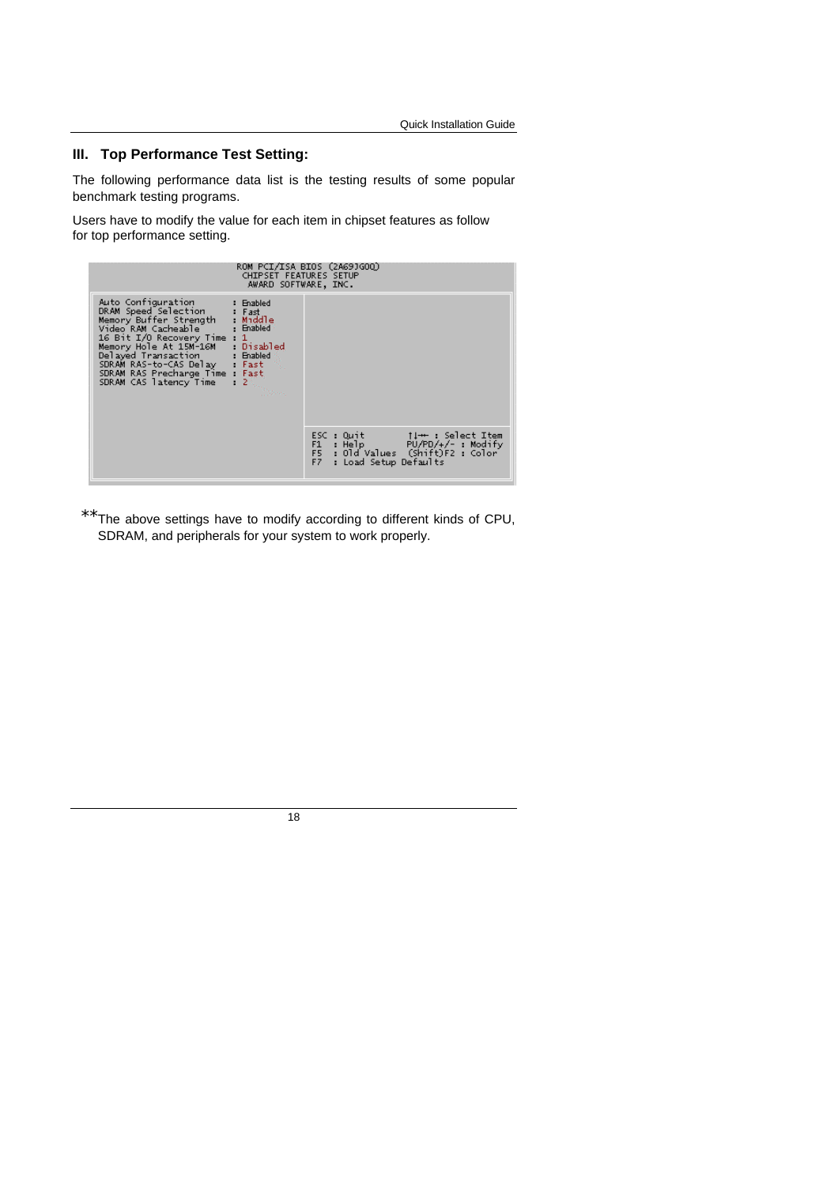## **III. Top Performance Test Setting:**

The following performance data list is the testing results of some popular benchmark testing programs.

Users have to modify the value for each item in chipset features as follow for top performance setting.



\*\*The above settings have to modify according to different kinds of CPU, SDRAM, and peripherals for your system to work properly.